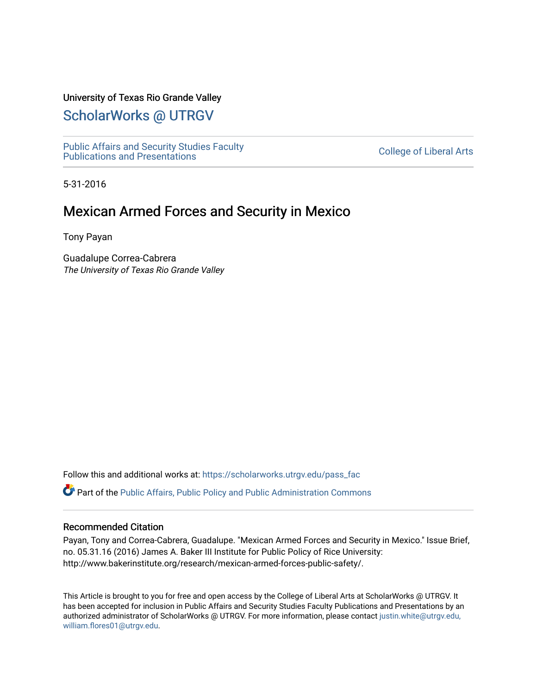#### University of Texas Rio Grande Valley

# [ScholarWorks @ UTRGV](https://scholarworks.utrgv.edu/)

[Public Affairs and Security Studies Faculty](https://scholarworks.utrgv.edu/pass_fac) Public Affairs and Security Studies Faculty<br>Publications and Presentations

5-31-2016

# Mexican Armed Forces and Security in Mexico

Tony Payan

Guadalupe Correa-Cabrera The University of Texas Rio Grande Valley

Follow this and additional works at: [https://scholarworks.utrgv.edu/pass\\_fac](https://scholarworks.utrgv.edu/pass_fac?utm_source=scholarworks.utrgv.edu%2Fpass_fac%2F17&utm_medium=PDF&utm_campaign=PDFCoverPages) 

Part of the [Public Affairs, Public Policy and Public Administration Commons](http://network.bepress.com/hgg/discipline/393?utm_source=scholarworks.utrgv.edu%2Fpass_fac%2F17&utm_medium=PDF&utm_campaign=PDFCoverPages) 

#### Recommended Citation

Payan, Tony and Correa-Cabrera, Guadalupe. "Mexican Armed Forces and Security in Mexico." Issue Brief, no. 05.31.16 (2016) James A. Baker III Institute for Public Policy of Rice University: http://www.bakerinstitute.org/research/mexican-armed-forces-public-safety/.

This Article is brought to you for free and open access by the College of Liberal Arts at ScholarWorks @ UTRGV. It has been accepted for inclusion in Public Affairs and Security Studies Faculty Publications and Presentations by an authorized administrator of ScholarWorks @ UTRGV. For more information, please contact [justin.white@utrgv.edu,](mailto:justin.white@utrgv.edu,%20william.flores01@utrgv.edu)  [william.flores01@utrgv.edu](mailto:justin.white@utrgv.edu,%20william.flores01@utrgv.edu).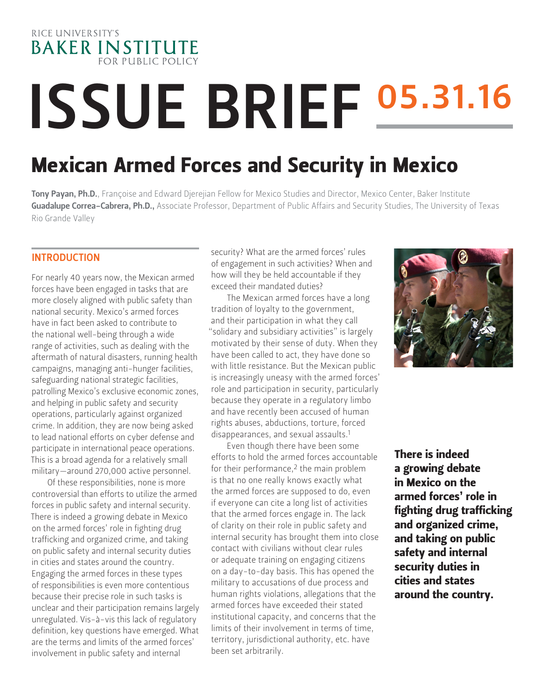

# ISSUE BRIEF 05.31.16

# Mexican Armed Forces and Security in Mexico

Tony Payan, Ph.D., Françoise and Edward Djerejian Fellow for Mexico Studies and Director, Mexico Center, Baker Institute Guadalupe Correa-Cabrera, Ph.D., Associate Professor, Department of Public Affairs and Security Studies, The University of Texas Rio Grande Valley

# INTRODUCTION

For nearly 40 years now, the Mexican armed forces have been engaged in tasks that are more closely aligned with public safety than national security. Mexico's armed forces have in fact been asked to contribute to the national well-being through a wide range of activities, such as dealing with the aftermath of natural disasters, running health campaigns, managing anti-hunger facilities, safeguarding national strategic facilities, patrolling Mexico's exclusive economic zones, and helping in public safety and security operations, particularly against organized crime. In addition, they are now being asked to lead national efforts on cyber defense and participate in international peace operations. This is a broad agenda for a relatively small military—around 270,000 active personnel.

Of these responsibilities, none is more controversial than efforts to utilize the armed forces in public safety and internal security. There is indeed a growing debate in Mexico on the armed forces' role in fighting drug trafficking and organized crime, and taking on public safety and internal security duties in cities and states around the country. Engaging the armed forces in these types of responsibilities is even more contentious because their precise role in such tasks is unclear and their participation remains largely unregulated. Vis-à-vis this lack of regulatory definition, key questions have emerged. What are the terms and limits of the armed forces' involvement in public safety and internal

security? What are the armed forces' rules of engagement in such activities? When and how will they be held accountable if they exceed their mandated duties?

The Mexican armed forces have a long tradition of loyalty to the government, and their participation in what they call "solidary and subsidiary activities" is largely motivated by their sense of duty. When they have been called to act, they have done so with little resistance. But the Mexican public is increasingly uneasy with the armed forces' role and participation in security, particularly because they operate in a regulatory limbo and have recently been accused of human rights abuses, abductions, torture, forced disappearances, and sexual assaults.1

Even though there have been some efforts to hold the armed forces accountable for their performance,<sup>2</sup> the main problem is that no one really knows exactly what the armed forces are supposed to do, even if everyone can cite a long list of activities that the armed forces engage in. The lack of clarity on their role in public safety and internal security has brought them into close contact with civilians without clear rules or adequate training on engaging citizens on a day-to-day basis. This has opened the military to accusations of due process and human rights violations, allegations that the armed forces have exceeded their stated institutional capacity, and concerns that the limits of their involvement in terms of time, territory, jurisdictional authority, etc. have been set arbitrarily.



There is indeed a growing debate in Mexico on the armed forces' role in fighting drug trafficking and organized crime, and taking on public safety and internal security duties in cities and states around the country.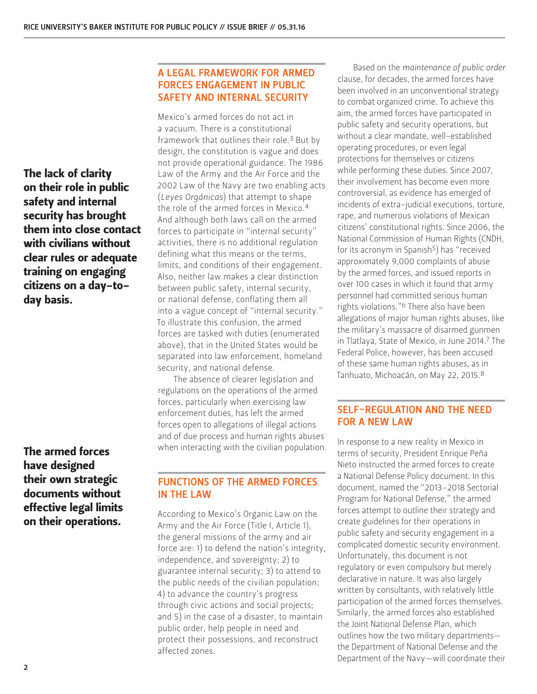The lack of clarity on their role in public safety and internal security has brought them into close contact with civilians without clear rules or adequate training on engaging citizens on a day-today basis.

# The armed forces have designed their own strategic documents without effective legal limits on their operations.

# A LEGAL FRAMEWORK FOR ARMED FORCES ENGAGEMENT IN PUBLIC SAFETY AND INTERNAL SECURITY

Mexico's armed forces do not act in a vacuum. There is a constitutional framework that outlines their role.3 But by design, the constitution is vague and does not provide operational guidance. The 1986 Law of the Army and the Air Force and the 2002 Law of the Navy are two enabling acts (*Leyes Orgánicas*) that attempt to shape the role of the armed forces in Mexico.4 And although both laws call on the armed forces to participate in "internal security" activities, there is no additional regulation defining what this means or the terms, limits, and conditions of their engagement. Also, neither law makes a clear distinction between public safety, internal security, or national defense, conflating them all into a vague concept of "internal security." To illustrate this confusion, the armed forces are tasked with duties (enumerated above), that in the United States would be separated into law enforcement, homeland security, and national defense.

The absence of clearer legislation and regulations on the operations of the armed forces, particularly when exercising law enforcement duties, has left the armed forces open to allegations of illegal actions and of due process and human rights abuses when interacting with the civilian population.

# FUNCTIONS OF THE ARMED FORCES IN THE LAW

According to Mexico's Organic Law on the Army and the Air Force (Title I, Article 1), the general missions of the army and air force are: 1) to defend the nation's integrity, independence, and sovereignty; 2) to guarantee internal security; 3) to attend to the public needs of the civilian population; 4) to advance the country's progress through civic actions and social projects; and 5) in the case of a disaster, to maintain public order, help people in need and protect their possessions, and reconstruct affected zones.

Based on the *maintenance of public order*  clause, for decades, the armed forces have been involved in an unconventional strategy to combat organized crime. To achieve this aim, the armed forces have participated in public safety and security operations, but without a clear mandate, well-established operating procedures, or even legal protections for themselves or citizens while performing these duties. Since 2007, their involvement has become even more controversial, as evidence has emerged of incidents of extra-judicial executions, torture, rape, and numerous violations of Mexican citizens' constitutional rights. Since 2006, the National Commission of Human Rights (CNDH, for its acronym in Spanish<sup>5</sup>) has "received approximately 9,000 complaints of abuse by the armed forces, and issued reports in over 100 cases in which it found that army personnel had committed serious human rights violations."6 There also have been allegations of major human rights abuses, like the military's massacre of disarmed gunmen in Tlatlaya, State of Mexico, in June 2014.7 The Federal Police, however, has been accused of these same human rights abuses, as in Tanhuato, Michoacán, on May 22, 2015.8

# SELF-REGULATION AND THE NEED FOR A NEW LAW

In response to a new reality in Mexico in terms of security, President Enrique Peña Nieto instructed the armed forces to create a National Defense Policy document. In this document, named the "2013–2018 Sectorial Program for National Defense," the armed forces attempt to outline their strategy and create guidelines for their operations in public safety and security engagement in a complicated domestic security environment. Unfortunately, this document is not regulatory or even compulsory but merely declarative in nature. It was also largely written by consultants, with relatively little participation of the armed forces themselves. Similarly, the armed forces also established the Joint National Defense Plan, which outlines how the two military departments the Department of National Defense and the Department of the Navy—will coordinate their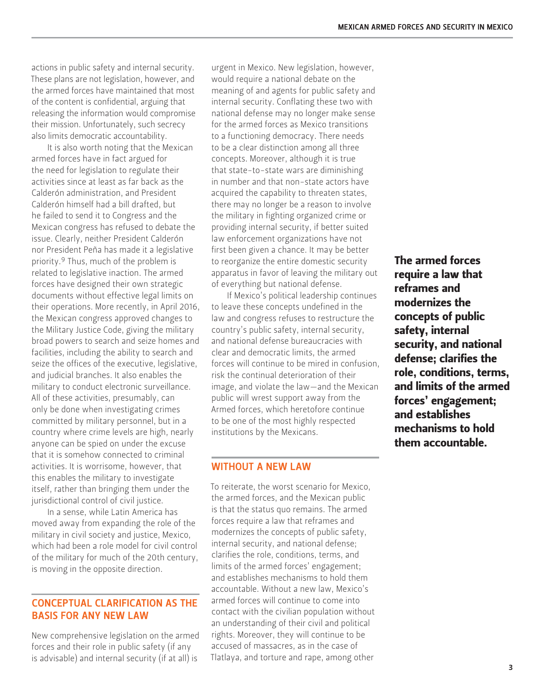actions in public safety and internal security. These plans are not legislation, however, and the armed forces have maintained that most of the content is confidential, arguing that releasing the information would compromise their mission. Unfortunately, such secrecy also limits democratic accountability.

It is also worth noting that the Mexican armed forces have in fact argued for the need for legislation to regulate their activities since at least as far back as the Calderón administration, and President Calderón himself had a bill drafted, but he failed to send it to Congress and the Mexican congress has refused to debate the issue. Clearly, neither President Calderón nor President Peña has made it a legislative priority.9 Thus, much of the problem is related to legislative inaction. The armed forces have designed their own strategic documents without effective legal limits on their operations. More recently, in April 2016, the Mexican congress approved changes to the Military Justice Code, giving the military broad powers to search and seize homes and facilities, including the ability to search and seize the offices of the executive, legislative, and judicial branches. It also enables the military to conduct electronic surveillance. All of these activities, presumably, can only be done when investigating crimes committed by military personnel, but in a country where crime levels are high, nearly anyone can be spied on under the excuse that it is somehow connected to criminal activities. It is worrisome, however, that this enables the military to investigate itself, rather than bringing them under the jurisdictional control of civil justice.

In a sense, while Latin America has moved away from expanding the role of the military in civil society and justice, Mexico, which had been a role model for civil control of the military for much of the 20th century, is moving in the opposite direction.

#### CONCEPTUAL CLARIFICATION AS THE BASIS FOR ANY NEW LAW

New comprehensive legislation on the armed forces and their role in public safety (if any is advisable) and internal security (if at all) is

urgent in Mexico. New legislation, however, would require a national debate on the meaning of and agents for public safety and internal security. Conflating these two with national defense may no longer make sense for the armed forces as Mexico transitions to a functioning democracy. There needs to be a clear distinction among all three concepts. Moreover, although it is true that state-to-state wars are diminishing in number and that non-state actors have acquired the capability to threaten states, there may no longer be a reason to involve the military in fighting organized crime or providing internal security, if better suited law enforcement organizations have not first been given a chance. It may be better to reorganize the entire domestic security apparatus in favor of leaving the military out of everything but national defense.

If Mexico's political leadership continues to leave these concepts undefined in the law and congress refuses to restructure the country's public safety, internal security, and national defense bureaucracies with clear and democratic limits, the armed forces will continue to be mired in confusion risk the continual deterioration of their image, and violate the law—and the Mexican public will wrest support away from the Armed forces, which heretofore continue to be one of the most highly respected institutions by the Mexicans.

#### WITHOUT A NEW LAW

To reiterate, the worst scenario for Mexico, the armed forces, and the Mexican public is that the status quo remains. The armed forces require a law that reframes and modernizes the concepts of public safety, internal security, and national defense; clarifies the role, conditions, terms, and limits of the armed forces' engagement; and establishes mechanisms to hold them accountable. Without a new law, Mexico's armed forces will continue to come into contact with the civilian population without an understanding of their civil and political rights. Moreover, they will continue to be accused of massacres, as in the case of Tlatlaya, and torture and rape, among other

The armed forces require a law that reframes and modernizes the concepts of public safety, internal security, and national defense; clarifies the role, conditions, terms, and limits of the armed forces' engagement; and establishes mechanisms to hold them accountable.